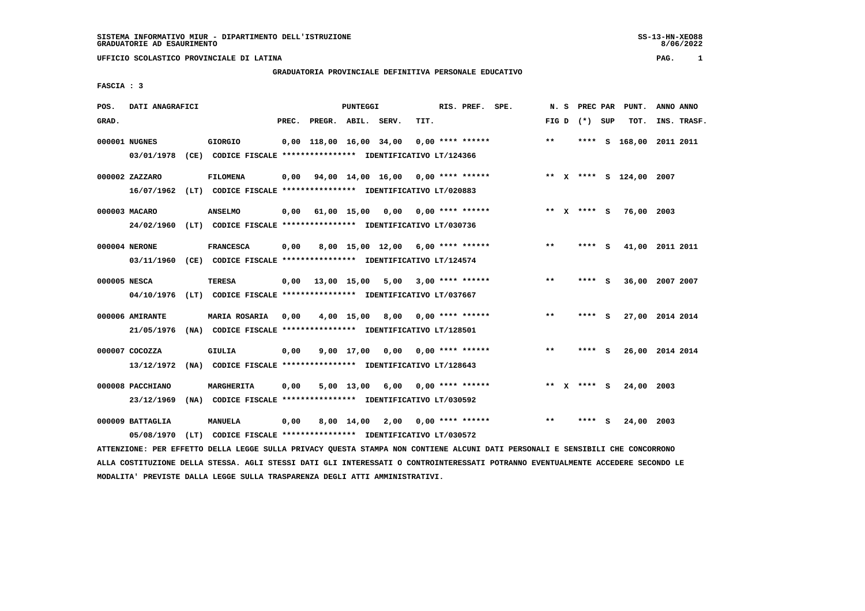**UFFICIO SCOLASTICO PROVINCIALE DI LATINA PAG. 1**

## **GRADUATORIA PROVINCIALE DEFINITIVA PERSONALE EDUCATIVO**

 **FASCIA : 3**

| POS.         | DATI ANAGRAFICI  |  |                                                                         |      |                          | PUNTEGGI   |                                          |      | RIS. PREF. SPE. |                         | N. S |       | PREC PAR PUNT. |             |    | ANNO ANNO               |           |             |
|--------------|------------------|--|-------------------------------------------------------------------------|------|--------------------------|------------|------------------------------------------|------|-----------------|-------------------------|------|-------|----------------|-------------|----|-------------------------|-----------|-------------|
| GRAD.        |                  |  |                                                                         |      | PREC. PREGR. ABIL. SERV. |            |                                          | TIT. |                 |                         |      | FIG D |                | (*) SUP     |    | TOT.                    |           | INS. TRASF. |
|              | 000001 NUGNES    |  | <b>GIORGIO</b>                                                          |      |                          |            | 0,00 118,00 16,00 34,00                  |      |                 | $0.00$ **** ******      |      | $* *$ |                | ****        | s  | 168,00                  | 2011 2011 |             |
|              | 03/01/1978       |  | (CE) CODICE FISCALE **************** IDENTIFICATIVO LT/124366           |      |                          |            |                                          |      |                 |                         |      |       |                |             |    |                         |           |             |
|              | 000002 ZAZZARO   |  | <b>FILOMENA</b>                                                         | 0,00 |                          |            | 94,00 14,00 16,00 0,00 **** ******       |      |                 |                         |      |       |                |             |    | ** X **** S 124,00 2007 |           |             |
|              |                  |  | 16/07/1962 (LT) CODICE FISCALE *************** IDENTIFICATIVO LT/020883 |      |                          |            |                                          |      |                 |                         |      |       |                |             |    |                         |           |             |
|              | 000003 MACARO    |  | <b>ANSELMO</b>                                                          | 0,00 |                          |            | 61,00 15,00 0,00 0,00 **** ******        |      |                 |                         |      |       |                | ** x **** s |    | 76,00                   | 2003      |             |
|              |                  |  | 24/02/1960 (LT) CODICE FISCALE *************** IDENTIFICATIVO LT/030736 |      |                          |            |                                          |      |                 |                         |      |       |                |             |    |                         |           |             |
|              | 000004 NERONE    |  | <b>FRANCESCA</b>                                                        | 0,00 |                          |            | 8,00 15,00 12,00 6,00 **** ******        |      |                 |                         |      | $***$ |                | **** S      |    | 41,00                   | 2011 2011 |             |
|              |                  |  | 03/11/1960 (CE) CODICE FISCALE *************** IDENTIFICATIVO LT/124574 |      |                          |            |                                          |      |                 |                         |      |       |                |             |    |                         |           |             |
| 000005 NESCA |                  |  | <b>TERESA</b>                                                           |      |                          |            | $0,00$ 13,00 15,00 5,00 3,00 **** ****** |      |                 |                         |      | $***$ |                | **** S      |    | 36,00 2007 2007         |           |             |
|              | 04/10/1976       |  | (LT) CODICE FISCALE *************** IDENTIFICATIVO LT/037667            |      |                          |            |                                          |      |                 |                         |      |       |                |             |    |                         |           |             |
|              | 000006 AMIRANTE  |  | <b>MARIA ROSARIA</b>                                                    | 0,00 |                          |            | $4,00$ 15,00 8,00 0,00 **** ******       |      |                 |                         |      | $* *$ |                | **** S      |    | 27,00 2014 2014         |           |             |
|              | 21/05/1976       |  | (NA) CODICE FISCALE **************** IDENTIFICATIVO LT/128501           |      |                          |            |                                          |      |                 |                         |      |       |                |             |    |                         |           |             |
|              | 000007 COCOZZA   |  | <b>GIULIA</b>                                                           | 0,00 |                          | 9,00 17,00 | $0,00$ $0,00$ **** ******                |      |                 |                         |      | $***$ |                | **** S      |    | 26,00 2014 2014         |           |             |
|              | 13/12/1972       |  | (NA) CODICE FISCALE **************** IDENTIFICATIVO LT/128643           |      |                          |            |                                          |      |                 |                         |      |       |                |             |    |                         |           |             |
|              | 000008 PACCHIANO |  | MARGHERITA                                                              | 0,00 |                          | 5,00 13,00 | 6,00 0,00 **** ******                    |      |                 |                         |      |       |                | ** X **** S |    | 24,00 2003              |           |             |
|              | 23/12/1969       |  | (NA) CODICE FISCALE **************** IDENTIFICATIVO LT/030592           |      |                          |            |                                          |      |                 |                         |      |       |                |             |    |                         |           |             |
|              |                  |  |                                                                         |      |                          |            |                                          |      |                 |                         |      |       |                |             |    |                         |           |             |
|              | 000009 BATTAGLIA |  | <b>MANUELA</b>                                                          | 0,00 |                          | 8,00 14,00 |                                          |      |                 | $2,00$ 0,00 **** ****** |      | $***$ |                |             | S. | 24,00 2003              |           |             |
|              | 05/08/1970       |  | (LT) CODICE FISCALE **************** IDENTIFICATIVO LT/030572           |      |                          |            |                                          |      |                 |                         |      |       |                |             |    |                         |           |             |

 **ATTENZIONE: PER EFFETTO DELLA LEGGE SULLA PRIVACY QUESTA STAMPA NON CONTIENE ALCUNI DATI PERSONALI E SENSIBILI CHE CONCORRONO ALLA COSTITUZIONE DELLA STESSA. AGLI STESSI DATI GLI INTERESSATI O CONTROINTERESSATI POTRANNO EVENTUALMENTE ACCEDERE SECONDO LE MODALITA' PREVISTE DALLA LEGGE SULLA TRASPARENZA DEGLI ATTI AMMINISTRATIVI.**

8/06/2022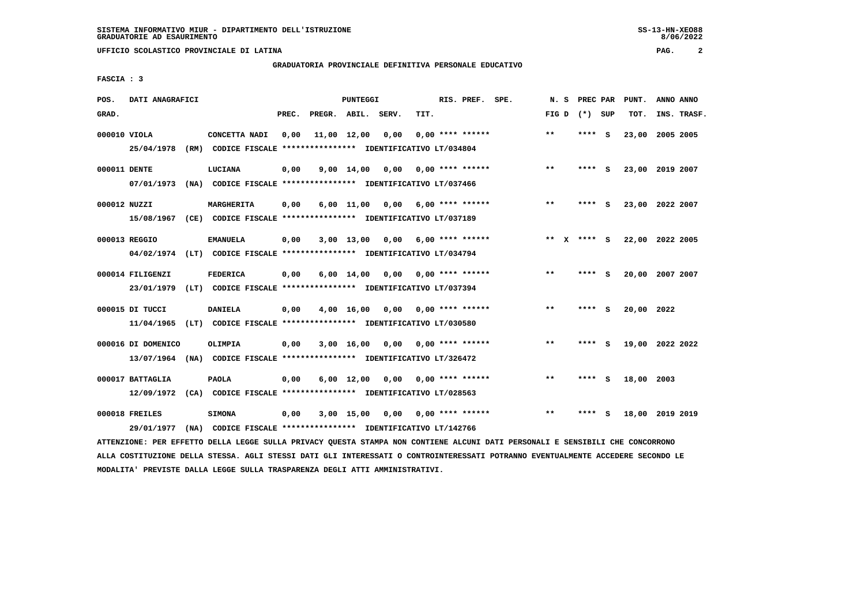**UFFICIO SCOLASTICO PROVINCIALE DI LATINA PAG. 2**

## **GRADUATORIA PROVINCIALE DEFINITIVA PERSONALE EDUCATIVO**

 **FASCIA : 3**

| POS.  | DATI ANAGRAFICI    |      |                                                                         | PUNTEGGI |                    |                    |      |                           | RIS. PREF. SPE.    | PREC PAR PUNT.<br>N.S |          |     |            | ANNO ANNO       |
|-------|--------------------|------|-------------------------------------------------------------------------|----------|--------------------|--------------------|------|---------------------------|--------------------|-----------------------|----------|-----|------------|-----------------|
| GRAD. |                    |      |                                                                         | PREC.    | PREGR. ABIL. SERV. |                    |      | TIT.                      |                    | FIG D $(*)$ SUP       |          |     | TOT.       | INS. TRASF.     |
|       | 000010 VIOLA       |      | CONCETTA NADI                                                           | 0,00     |                    | 11,00 12,00        | 0,00 |                           | $0.00$ **** ****** | $***$                 | ****     | - S |            | 23,00 2005 2005 |
|       | 25/04/1978         | (RM) | CODICE FISCALE **************** IDENTIFICATIVO LT/034804                |          |                    |                    |      |                           |                    |                       |          |     |            |                 |
|       | 000011 DENTE       |      | LUCIANA                                                                 | 0,00     |                    | $9,00 \quad 14,00$ | 0,00 | $0.00$ **** ******        |                    | $***$                 | ****     | - S |            | 23,00 2019 2007 |
|       | 07/01/1973         |      | (NA) CODICE FISCALE **************** IDENTIFICATIVO LT/037466           |          |                    |                    |      |                           |                    |                       |          |     |            |                 |
|       | 000012 NUZZI       |      | MARGHERITA                                                              | 0,00     |                    | $6,00$ 11,00       |      | $0,00$ 6,00 **** ******   |                    | $***$                 | ****     | - S |            | 23,00 2022 2007 |
|       | 15/08/1967         |      | (CE) CODICE FISCALE **************** IDENTIFICATIVO LT/037189           |          |                    |                    |      |                           |                    |                       |          |     |            |                 |
|       | 000013 REGGIO      |      | <b>EMANUELA</b>                                                         | 0,00     |                    | $3,00$ 13,00       | 0.00 |                           | $6.00$ **** ****** | $* *$<br>x            | **** S   |     |            | 22,00 2022 2005 |
|       |                    |      | 04/02/1974 (LT) CODICE FISCALE *************** IDENTIFICATIVO LT/034794 |          |                    |                    |      |                           |                    |                       |          |     |            |                 |
|       | 000014 FILIGENZI   |      | FEDERICA                                                                | 0,00     |                    | 6,00 14,00         |      | $0,00$ $0,00$ **** ****** |                    | $* *$                 | **** $S$ |     |            | 20,00 2007 2007 |
|       | 23/01/1979         |      | (LT) CODICE FISCALE *************** IDENTIFICATIVO LT/037394            |          |                    |                    |      |                           |                    |                       |          |     |            |                 |
|       | 000015 DI TUCCI    |      | <b>DANIELA</b>                                                          | 0,00     |                    | 4,00 16,00         | 0,00 |                           | $0.00$ **** ****** | $***$                 | ****     | - S | 20,00 2022 |                 |
|       | 11/04/1965         |      | (LT) CODICE FISCALE **************** IDENTIFICATIVO LT/030580           |          |                    |                    |      |                           |                    |                       |          |     |            |                 |
|       | 000016 DI DOMENICO |      | OLIMPIA                                                                 | 0,00     |                    | 3,00 16,00         | 0.00 | 0,00 **** ******          |                    | $***$                 | ****     | - S |            | 19,00 2022 2022 |
|       | 13/07/1964         |      | (NA) CODICE FISCALE **************** IDENTIFICATIVO LT/326472           |          |                    |                    |      |                           |                    |                       |          |     |            |                 |
|       | 000017 BATTAGLIA   |      | <b>PAOLA</b>                                                            | 0,00     |                    | $6,00 \quad 12,00$ | 0,00 | 0,00 **** ******          |                    | $* *$                 | **** S   |     | 18,00 2003 |                 |
|       |                    |      | 12/09/1972 (CA) CODICE FISCALE *************** IDENTIFICATIVO LT/028563 |          |                    |                    |      |                           |                    |                       |          |     |            |                 |
|       | 000018 FREILES     |      | <b>SIMONA</b>                                                           | 0,00     |                    | 3,00 15,00         |      | $0,00$ $0,00$ **** ****** |                    | $* *$                 |          |     |            | 18,00 2019 2019 |
|       | 29/01/1977         |      | (NA) CODICE FISCALE **************** IDENTIFICATIVO LT/142766           |          |                    |                    |      |                           |                    |                       |          |     |            |                 |

 **ATTENZIONE: PER EFFETTO DELLA LEGGE SULLA PRIVACY QUESTA STAMPA NON CONTIENE ALCUNI DATI PERSONALI E SENSIBILI CHE CONCORRONO ALLA COSTITUZIONE DELLA STESSA. AGLI STESSI DATI GLI INTERESSATI O CONTROINTERESSATI POTRANNO EVENTUALMENTE ACCEDERE SECONDO LE MODALITA' PREVISTE DALLA LEGGE SULLA TRASPARENZA DEGLI ATTI AMMINISTRATIVI.**

 $8/06/2022$